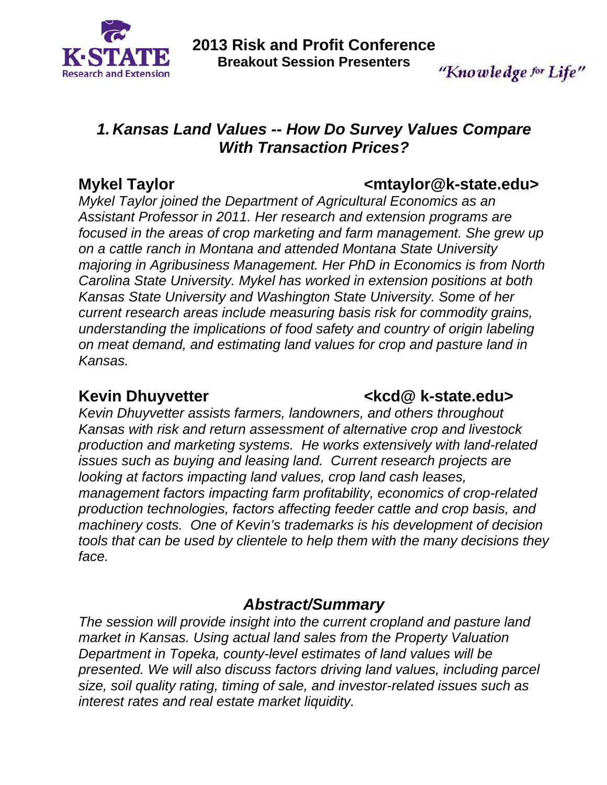

"Knowledge for Life"

# *1. Kansas Land Values -- How Do Survey Values Compare With Transaction Prices?*

Mykel Taylor **Music Community Communist Communist Communist Communist Communist Communist Communist Communist Communist Communist Communist Communist Communist Communist Communist Communist Communist Communist Communist Co** 

*Mykel Taylor joined the Department of Agricultural Economics as an Assistant Professor in 2011. Her research and extension programs are focused in the areas of crop marketing and farm management. She grew up on a cattle ranch in Montana and attended Montana State University majoring in Agribusiness Management. Her PhD in Economics is from North Carolina State University. Mykel has worked in extension positions at both Kansas State University and Washington State University. Some of her current research areas include measuring basis risk for commodity grains, understanding the implications of food safety and country of origin labeling on meat demand, and estimating land values for crop and pasture land in Kansas.* 

# Kevin Dhuyvetter **Kevin Dhuyvetter Kevin Dhuyvetter Kevin Blue Levin Blue Ave**

*Kevin Dhuyvetter assists farmers, landowners, and others throughout Kansas with risk and return assessment of alternative crop and livestock production and marketing systems. He works extensively with land-related issues such as buying and leasing land. Current research projects are looking at factors impacting land values, crop land cash leases, management factors impacting farm profitability, economics of crop-related production technologies, factors affecting feeder cattle and crop basis, and machinery costs. One of Kevin's trademarks is his development of decision tools that can be used by clientele to help them with the many decisions they face.* 

# *Abstract/Summary*

*The session will provide insight into the current cropland and pasture land market in Kansas. Using actual land sales from the Property Valuation Department in Topeka, county-level estimates of land values will be presented. We will also discuss factors driving land values, including parcel size, soil quality rating, timing of sale, and investor-related issues such as interest rates and real estate market liquidity.*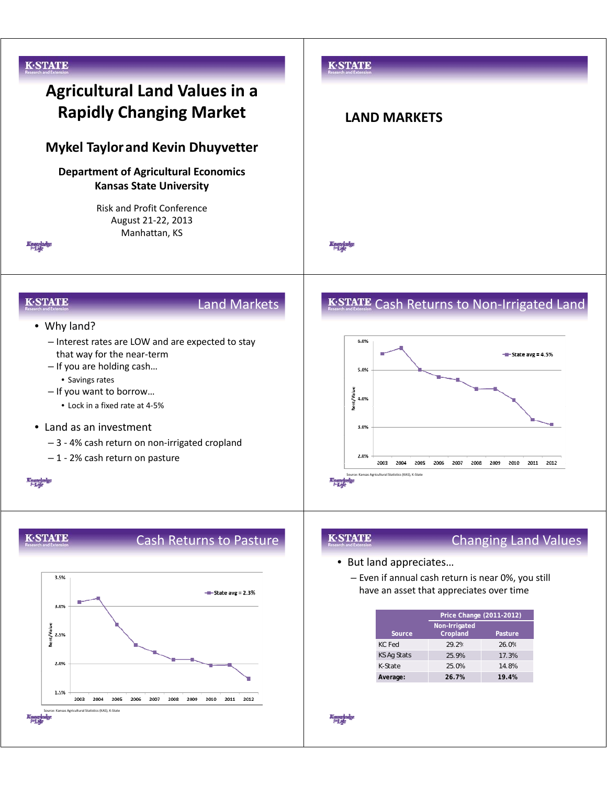

### **K-STATE**

# Cash Returns to Pasture



### **K-STATE**

## Changing Land Values

- But land appreciates…
	- Even if annual cash return is near 0%, you still have an asset that appreciates over time

|                    | Price Change (2011-2012)  |         |  |
|--------------------|---------------------------|---------|--|
| Source             | Non-Irrigated<br>Cropland | Pasture |  |
| KC Fed             | 29 2%                     | 26.0%   |  |
| <b>KS Ag Stats</b> | 25.9%                     | 17.3%   |  |
| K-State            | 25.0%                     | 14.8%   |  |
| Average:           | 26.7%                     | 19.4%   |  |

Kanaghaly<br>- 1-1 de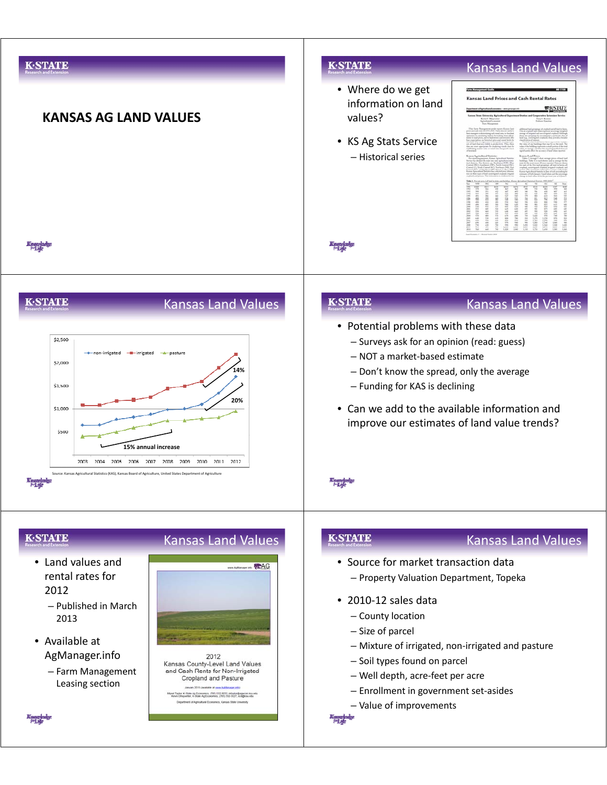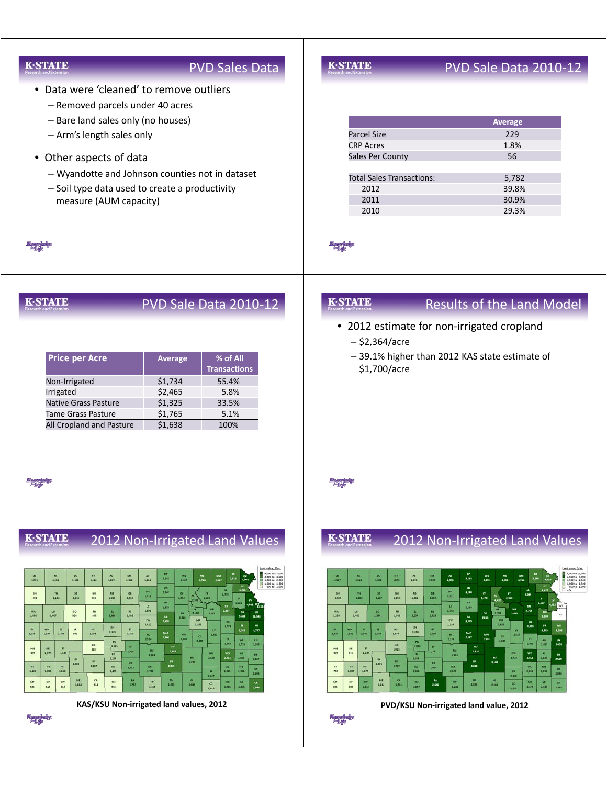| KASTATE<br><b>PVD Sales Data</b>                                                                                                                                                                                                                                                                                                                                                                                                                                                                                                                                                                                                                                                                                                                                                                                                                                                                                                                                                                                                                                                                                                                                                                                                                                                                                                                                                                                                                                                                                                                                                                                                                                                                                                                                                                                                                                                         | PVD Sale Data 2010-12                                                                                                                                                                                                                                                                                                                                                                                                                                                                                                                                                                                                                                                                                                                                                                                                                                                                                                                                                                                                                                                                                                                                                                                                                                                                                                                                                                                                                                                                                                                                                                                                                                                                                                                                              |
|------------------------------------------------------------------------------------------------------------------------------------------------------------------------------------------------------------------------------------------------------------------------------------------------------------------------------------------------------------------------------------------------------------------------------------------------------------------------------------------------------------------------------------------------------------------------------------------------------------------------------------------------------------------------------------------------------------------------------------------------------------------------------------------------------------------------------------------------------------------------------------------------------------------------------------------------------------------------------------------------------------------------------------------------------------------------------------------------------------------------------------------------------------------------------------------------------------------------------------------------------------------------------------------------------------------------------------------------------------------------------------------------------------------------------------------------------------------------------------------------------------------------------------------------------------------------------------------------------------------------------------------------------------------------------------------------------------------------------------------------------------------------------------------------------------------------------------------------------------------------------------------|--------------------------------------------------------------------------------------------------------------------------------------------------------------------------------------------------------------------------------------------------------------------------------------------------------------------------------------------------------------------------------------------------------------------------------------------------------------------------------------------------------------------------------------------------------------------------------------------------------------------------------------------------------------------------------------------------------------------------------------------------------------------------------------------------------------------------------------------------------------------------------------------------------------------------------------------------------------------------------------------------------------------------------------------------------------------------------------------------------------------------------------------------------------------------------------------------------------------------------------------------------------------------------------------------------------------------------------------------------------------------------------------------------------------------------------------------------------------------------------------------------------------------------------------------------------------------------------------------------------------------------------------------------------------------------------------------------------------------------------------------------------------|
| • Data were 'cleaned' to remove outliers<br>- Removed parcels under 40 acres<br>- Bare land sales only (no houses)<br>- Arm's length sales only                                                                                                                                                                                                                                                                                                                                                                                                                                                                                                                                                                                                                                                                                                                                                                                                                                                                                                                                                                                                                                                                                                                                                                                                                                                                                                                                                                                                                                                                                                                                                                                                                                                                                                                                          | Average<br><b>Parcel Size</b><br>229                                                                                                                                                                                                                                                                                                                                                                                                                                                                                                                                                                                                                                                                                                                                                                                                                                                                                                                                                                                                                                                                                                                                                                                                                                                                                                                                                                                                                                                                                                                                                                                                                                                                                                                               |
| • Other aspects of data                                                                                                                                                                                                                                                                                                                                                                                                                                                                                                                                                                                                                                                                                                                                                                                                                                                                                                                                                                                                                                                                                                                                                                                                                                                                                                                                                                                                                                                                                                                                                                                                                                                                                                                                                                                                                                                                  | <b>CRP Acres</b><br>1.8%<br>56<br>Sales Per County                                                                                                                                                                                                                                                                                                                                                                                                                                                                                                                                                                                                                                                                                                                                                                                                                                                                                                                                                                                                                                                                                                                                                                                                                                                                                                                                                                                                                                                                                                                                                                                                                                                                                                                 |
| - Wyandotte and Johnson counties not in dataset                                                                                                                                                                                                                                                                                                                                                                                                                                                                                                                                                                                                                                                                                                                                                                                                                                                                                                                                                                                                                                                                                                                                                                                                                                                                                                                                                                                                                                                                                                                                                                                                                                                                                                                                                                                                                                          | <b>Total Sales Transactions:</b><br>5,782                                                                                                                                                                                                                                                                                                                                                                                                                                                                                                                                                                                                                                                                                                                                                                                                                                                                                                                                                                                                                                                                                                                                                                                                                                                                                                                                                                                                                                                                                                                                                                                                                                                                                                                          |
| - Soil type data used to create a productivity                                                                                                                                                                                                                                                                                                                                                                                                                                                                                                                                                                                                                                                                                                                                                                                                                                                                                                                                                                                                                                                                                                                                                                                                                                                                                                                                                                                                                                                                                                                                                                                                                                                                                                                                                                                                                                           | 2012<br>39.8%                                                                                                                                                                                                                                                                                                                                                                                                                                                                                                                                                                                                                                                                                                                                                                                                                                                                                                                                                                                                                                                                                                                                                                                                                                                                                                                                                                                                                                                                                                                                                                                                                                                                                                                                                      |
| measure (AUM capacity)                                                                                                                                                                                                                                                                                                                                                                                                                                                                                                                                                                                                                                                                                                                                                                                                                                                                                                                                                                                                                                                                                                                                                                                                                                                                                                                                                                                                                                                                                                                                                                                                                                                                                                                                                                                                                                                                   | 2011<br>30.9%<br>2010<br>29.3%                                                                                                                                                                                                                                                                                                                                                                                                                                                                                                                                                                                                                                                                                                                                                                                                                                                                                                                                                                                                                                                                                                                                                                                                                                                                                                                                                                                                                                                                                                                                                                                                                                                                                                                                     |
|                                                                                                                                                                                                                                                                                                                                                                                                                                                                                                                                                                                                                                                                                                                                                                                                                                                                                                                                                                                                                                                                                                                                                                                                                                                                                                                                                                                                                                                                                                                                                                                                                                                                                                                                                                                                                                                                                          |                                                                                                                                                                                                                                                                                                                                                                                                                                                                                                                                                                                                                                                                                                                                                                                                                                                                                                                                                                                                                                                                                                                                                                                                                                                                                                                                                                                                                                                                                                                                                                                                                                                                                                                                                                    |
| <b>GSTATE</b><br>PVD Sale Data 2010-12                                                                                                                                                                                                                                                                                                                                                                                                                                                                                                                                                                                                                                                                                                                                                                                                                                                                                                                                                                                                                                                                                                                                                                                                                                                                                                                                                                                                                                                                                                                                                                                                                                                                                                                                                                                                                                                   | <b>K-STATE</b><br><b>Results of the Land Model</b>                                                                                                                                                                                                                                                                                                                                                                                                                                                                                                                                                                                                                                                                                                                                                                                                                                                                                                                                                                                                                                                                                                                                                                                                                                                                                                                                                                                                                                                                                                                                                                                                                                                                                                                 |
| Price per Acre<br>% of All<br>Average<br><b>Transactions</b><br>Non-Irrigated<br>\$1,734<br>55.4%<br>\$2,465<br>5.8%<br>Irrigated<br><b>Native Grass Pasture</b><br>\$1,325<br>33.5%<br>Tame Grass Pasture<br>\$1,765<br>5.1%<br>All Cropland and Pasture<br>\$1,638<br>100%                                                                                                                                                                                                                                                                                                                                                                                                                                                                                                                                                                                                                                                                                                                                                                                                                                                                                                                                                                                                                                                                                                                                                                                                                                                                                                                                                                                                                                                                                                                                                                                                             | • 2012 estimate for non-irrigated cropland<br>$-$ \$2,364/acre<br>-39.1% higher than 2012 KAS state estimate of<br>\$1,700/acre                                                                                                                                                                                                                                                                                                                                                                                                                                                                                                                                                                                                                                                                                                                                                                                                                                                                                                                                                                                                                                                                                                                                                                                                                                                                                                                                                                                                                                                                                                                                                                                                                                    |
| TATE<br>2012 Non-Irrigated Land Values                                                                                                                                                                                                                                                                                                                                                                                                                                                                                                                                                                                                                                                                                                                                                                                                                                                                                                                                                                                                                                                                                                                                                                                                                                                                                                                                                                                                                                                                                                                                                                                                                                                                                                                                                                                                                                                   | <b>K-STATE</b><br>2012 Non-Irrigated Land Values                                                                                                                                                                                                                                                                                                                                                                                                                                                                                                                                                                                                                                                                                                                                                                                                                                                                                                                                                                                                                                                                                                                                                                                                                                                                                                                                                                                                                                                                                                                                                                                                                                                                                                                   |
| Land value, \$/ac.<br>4,000 to 17,000<br><b>IA</b><br><b>DC</b><br><b>MT</b><br><b>SM</b><br>$\frac{N}{1.411}$<br><b>CN</b><br>机<br>$\frac{W1}{2.147}$<br>$\frac{10}{100}$<br>$^{NM}_{2,167}$<br>$rac{1}{4,001}$<br>2,500 to 4,000<br>2,242<br>1,810<br>2.816<br>1,254<br>1,133<br>LIII<br>1,209<br>1,071<br>1,500 to 2,500<br>1,000 to 1,500<br>600 to 1,000<br>AT.<br>1.04<br>M<br>2,142<br>$\alpha$<br>sie<br>TH<br>50<br><b>RO</b><br><b>OB</b><br>œ<br>1,778<br>1,718<br>1,124<br>1,045<br>-966<br>1,008<br>1,335<br>1.918<br>992<br>List<br>٠<br>w<br>$-01$<br>2.122<br>4.00 MT.II<br><b>ic</b><br>m<br>1,933<br>WE<br>2,867<br>1,891<br>86<br><b>WA</b><br>$\overline{u}$<br>80<br>TR<br><b>R3</b><br>$\boldsymbol{\kappa}$<br><b>CK</b><br>2.190<br>2,083<br>1,998<br>1,034<br>1,007<br>826<br>143<br>1,802<br>1,481<br>14,943<br><b>IA</b><br>2,220<br>EW<br>2,693<br>M<br>$\alpha$<br>1,422<br>1,135<br>$\frac{m}{2,333}$<br>$\mathbf{m}$<br>LTTL<br>334<br>$\alpha$<br>WH<br>$\overline{\mathbf{x}}$<br>$\mathbf{u}$<br>315<br>$\bullet$<br>$\sum$<br>1,129<br>Mo<br>1,079<br>1,194<br>1,108<br>992<br>1,198<br>1,117<br>LUI<br><b>IRC</b><br>$\alpha$<br>2,604<br>2,308<br>1,524<br>$\sigma$<br>ui<br><b>AM</b><br>2.190<br>1,642<br>1,779<br>2,023<br>140<br>m<br>п<br>818<br>2,007<br>1,506<br>377<br>1,077<br>1,199<br>ID<br>1,662<br>п<br>2,561<br>2,025<br>1,609<br>ш<br>1,224<br>1,10<br>$+5$<br>2,291<br>1,359<br>m<br>3,075<br>1,307<br><b>GT</b><br>MS<br>KW<br><b>DA</b><br>840<br>1,322<br>$\alpha$<br>1,166<br>1,040<br>1,144<br>1,789<br>1,889<br>1,966<br>1,473<br>$\alpha$<br><b>LANE</b><br>1,847<br>M<br>CA<br>13.<br>MT<br>\$V<br>SW<br>CM<br>m<br>PS.<br>$\mathbf{u}$<br>$\frac{\alpha}{1.00}$<br>co<br>1,184<br>914<br>1,787<br>1,489<br>2,021<br>839<br>914<br>1,365<br>1.936<br>LINK<br>691<br>955<br>1,418<br>KAS/KSU Non-irrigated land values, 2012 | Land value, \$/ac.<br>4,000 to 17,00<br>$\frac{16}{100}$<br>$\frac{m}{\omega m}$<br>巷<br>$\frac{100}{1.942}$<br>$\frac{m}{2,338}$<br>OI<br>$\frac{100}{1.001}$<br>$\mathbf{u}^{\mathrm{MS}}_{\mathrm{R,MS}}$<br>$\frac{M_1}{4,956}$<br>NM<br>2,500 to 4,000<br>1,623<br>1.517<br>1,296<br>1,994<br>1,500 to 2,500<br>1,000 to 1,500<br>ME<br>1,248<br><b>RO</b><br>$^{0}$<br>um<br>LMR<br>2,167<br>2,254<br>1,158<br>1,182<br>1,484<br>2,901<br>3.571<br><b>OT</b><br>8,563<br>m<br>2,414<br>WE<br>1,763<br>3,768<br><b>WA</b><br>$\overline{u}$<br>T <sub>1</sub><br><b>DS</b><br>$\alpha$<br>LOSE:<br>2,800<br>30<br>1.134<br>LAZE<br>2,204<br>1,230<br>1,808<br>1,482<br>1,200<br>$\mathbf{A}$<br>2,818<br>EW<br>1,379<br>m<br>$^{\alpha}$<br>1,194<br>2,111<br>$\frac{8}{100}$<br>$\mathbf{m}$<br>3,639<br>334<br><b>WH</b><br>P.<br>$\mathbf{u}$<br><b>NS</b><br>œ<br>s,uss<br>E.220<br>McP<br>2.547<br>LIST<br>1.534<br>1,130<br>1,374<br>2,084<br>MN<br>1.11<br><b>IRC</b><br>$\alpha$<br>2,817<br>2,528<br>2,392<br>$\sigma$<br>w<br>AN.<br>1,435<br>2,410<br>2,417<br>2,658<br>HG<br><b>HN</b><br>E<br>1,013<br>2,839<br>1.747<br>1,257<br>327<br>911<br>wo<br>A.<br>ID.<br>٠<br>2,181<br>2,434<br>2,512<br>2,132<br>ш<br>1,884<br>1,569<br>\$5<br>3,140<br>1,871<br>$\mathbf{r}$<br>1,727<br>1,688<br><b>at</b><br>MS<br>ST<br><b>KW</b><br><b>KM</b><br>80<br>1,600<br>$\alpha$<br>754<br>1,057<br>1,173<br>2,122<br>2,090<br>1,111<br>1,806<br>$\alpha$<br>LIN<br>2,140<br>ME<br>$\alpha$<br>13.<br>MT<br>\$V<br>SW<br>$\alpha$<br>MS<br>$\mathbf{u}$<br>$\frac{\alpha}{\tan}$<br>60<br>um<br>LTEL<br>2,626<br>ĻШ<br>2,008<br>LSIS<br>895<br>895<br>1,397<br>2,282<br>2,174<br>2,444<br>2.232<br>PVD/KSU Non-irrigated land value, 2012<br><b>Nagy</b> |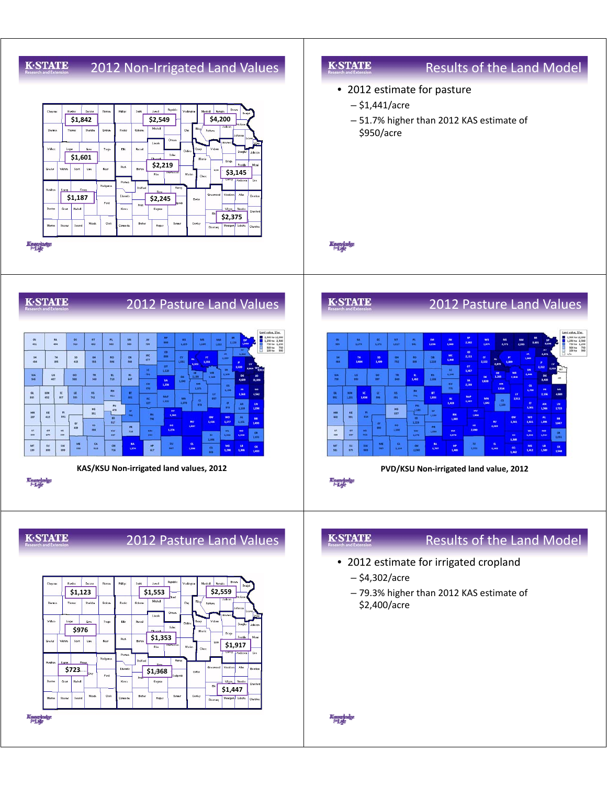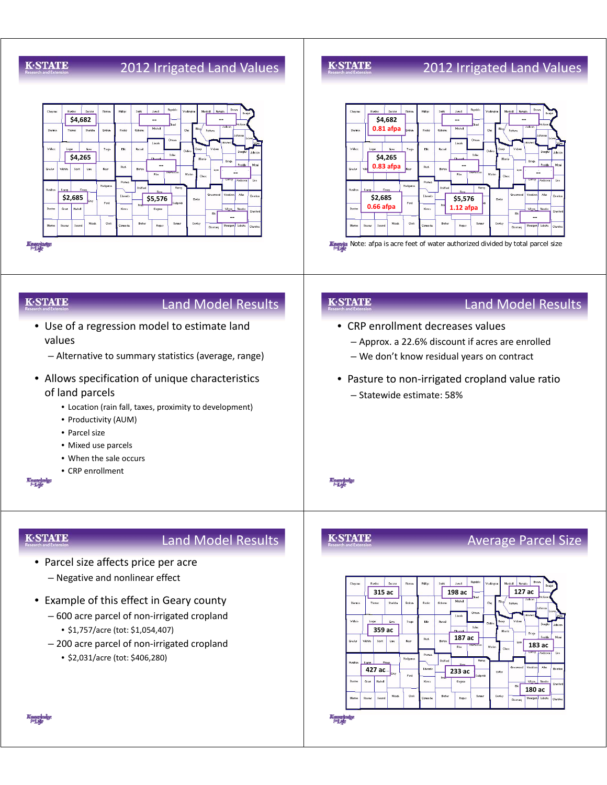## **GSTATE**

## 2012 Irrigated Land Values



#### **K-STATE**

## 2012 Irrigated Land Values



#### **K-STATE**

### Land Model Results

- Use of a regression model to estimate land values
	- Alternative to summary statistics (average, range)
- Allows specification of unique characteristics of land parcels
	- Location (rain fall, taxes, proximity to development)
	- Productivity (AUM)
	- Parcel size
	- Mixed use parcels
	- When the sale occurs
	- CRP enrollment

**K-STATE** 

# Land Model Results

- Parcel size affects price per acre
	- Negative and nonlinear effect
- Example of this effect in Geary county
	- $-600$  acre parcel of non-irrigated cropland • \$1,757/acre (tot: \$1,054,407)
	- $-$  200 acre parcel of non-irrigated cropland
		- \$2,031/acre (tot: \$406,280)

#### **K-STATE**

**Knoppledge** 

**K-STATE** 

## • CRP enrollment decreases values

Land Model Results

- Approx. a 22.6% discount if acres are enrolled
- We don't know residual years on contract
- Pasture to non-irrigated cropland value ratio – Statewide estimate: 58%

## Average Parcel Size



Kungkalye<br>|H<sub>a</sub>le